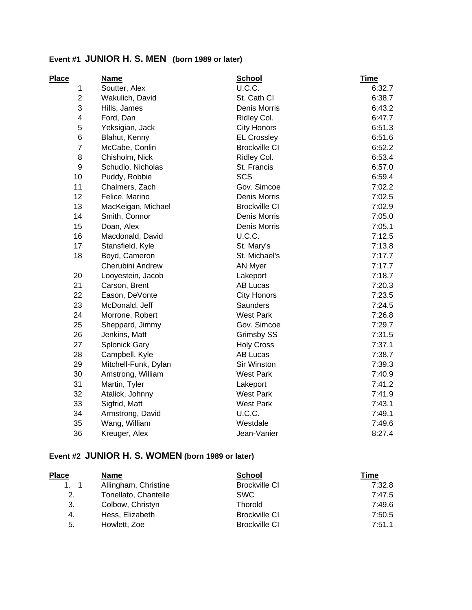#### **Event #1 JUNIOR H. S. MEN (born 1989 or later)**

| Place          | <b>Name</b>          | <b>School</b>        | <b>Time</b> |
|----------------|----------------------|----------------------|-------------|
| 1              | Soutter, Alex        | U.C.C.               | 6:32.7      |
| $\overline{c}$ | Wakulich, David      | St. Cath CI          | 6:38.7      |
| 3              | Hills, James         | Denis Morris         | 6:43.2      |
| 4              | Ford, Dan            | Ridley Col.          | 6:47.7      |
| 5              | Yeksigian, Jack      | <b>City Honors</b>   | 6:51.3      |
| 6              | Blahut, Kenny        | <b>EL Crossley</b>   | 6:51.6      |
| $\overline{7}$ | McCabe, Conlin       | <b>Brockville CI</b> | 6:52.2      |
| 8              | Chisholm, Nick       | Ridley Col.          | 6:53.4      |
| 9              | Schudlo, Nicholas    | St. Francis          | 6:57.0      |
| 10             | Puddy, Robbie        | <b>SCS</b>           | 6:59.4      |
| 11             | Chalmers, Zach       | Gov. Simcoe          | 7:02.2      |
| 12             | Felice, Marino       | Denis Morris         | 7:02.5      |
| 13             | MacKeigan, Michael   | <b>Brockville CI</b> | 7:02.9      |
| 14             | Smith, Connor        | Denis Morris         | 7:05.0      |
| 15             | Doan, Alex           | Denis Morris         | 7:05.1      |
| 16             | Macdonald, David     | U.C.C.               | 7:12.5      |
| 17             | Stansfield, Kyle     | St. Mary's           | 7:13.8      |
| 18             | Boyd, Cameron        | St. Michael's        | 7:17.7      |
|                | Cherubini Andrew     | AN Myer              | 7:17.7      |
| 20             | Looyestein, Jacob    | Lakeport             | 7:18.7      |
| 21             | Carson, Brent        | <b>AB Lucas</b>      | 7:20.3      |
| 22             | Eason, DeVonte       | <b>City Honors</b>   | 7:23.5      |
| 23             | McDonald, Jeff       | <b>Saunders</b>      | 7:24.5      |
| 24             | Morrone, Robert      | <b>West Park</b>     | 7:26.8      |
| 25             | Sheppard, Jimmy      | Gov. Simcoe          | 7:29.7      |
| 26             | Jenkins, Matt        | Grimsby SS           | 7:31.5      |
| 27             | <b>Splonick Gary</b> | <b>Holy Cross</b>    | 7:37.1      |
| 28             | Campbell, Kyle       | <b>AB Lucas</b>      | 7:38.7      |
| 29             | Mitchell-Funk, Dylan | Sir Winston          | 7:39.3      |
| 30             | Amstrong, William    | <b>West Park</b>     | 7:40.9      |
| 31             | Martin, Tyler        | Lakeport             | 7:41.2      |
| 32             | Atalick, Johnny      | <b>West Park</b>     | 7:41.9      |
| 33             | Sigfrid, Matt        | <b>West Park</b>     | 7:43.1      |
| 34             | Armstrong, David     | U.C.C.               | 7:49.1      |
| 35             | Wang, William        | Westdale             | 7:49.6      |
| 36             | Kreuger, Alex        | Jean-Vanier          | 8:27.4      |

# **Event #2 JUNIOR H. S. WOMEN (born 1989 or later)**

| <b>Place</b> | <b>Name</b>          | <b>School</b>        | Time   |
|--------------|----------------------|----------------------|--------|
| 1.1          | Allingham, Christine | <b>Brockville CI</b> | 7:32.8 |
| 2.           | Tonellato, Chantelle | <b>SWC</b>           | 7:47.5 |
| 3.           | Colbow, Christyn     | <b>Thorold</b>       | 7:49.6 |
| 4.           | Hess, Elizabeth      | <b>Brockville CI</b> | 7:50.5 |
| 5.           | Howlett, Zoe         | <b>Brockville CI</b> | 7:51.1 |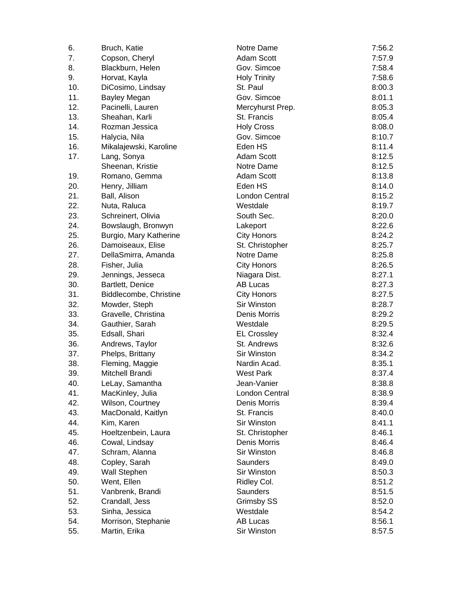| 6.  | Bruch, Katie           | Notre Dame          | 7:56.2 |
|-----|------------------------|---------------------|--------|
| 7.  | Copson, Cheryl         | <b>Adam Scott</b>   | 7:57.9 |
| 8.  | Blackburn, Helen       | Gov. Simcoe         | 7:58.4 |
| 9.  | Horvat, Kayla          | <b>Holy Trinity</b> | 7:58.6 |
| 10. | DiCosimo, Lindsay      | St. Paul            | 8:00.3 |
| 11. | <b>Bayley Megan</b>    | Gov. Simcoe         | 8:01.1 |
| 12. | Pacinelli, Lauren      | Mercyhurst Prep.    | 8:05.3 |
| 13. | Sheahan, Karli         | St. Francis         | 8:05.4 |
| 14. | Rozman Jessica         | <b>Holy Cross</b>   | 8:08.0 |
| 15. | Halycia, Nila          | Gov. Simcoe         | 8:10.7 |
| 16. | Mikalajewski, Karoline | Eden HS             | 8:11.4 |
| 17. | Lang, Sonya            | Adam Scott          | 8:12.5 |
|     | Sheenan, Kristie       | Notre Dame          | 8:12.5 |
| 19. | Romano, Gemma          | Adam Scott          | 8:13.8 |
| 20. | Henry, Jilliam         | Eden HS             | 8:14.0 |
| 21. | Ball, Alison           | London Central      | 8:15.2 |
| 22. | Nuta, Raluca           | Westdale            | 8:19.7 |
| 23. | Schreinert, Olivia     | South Sec.          | 8:20.0 |
| 24. | Bowslaugh, Bronwyn     | Lakeport            | 8:22.6 |
| 25. | Burgio, Mary Katherine | <b>City Honors</b>  | 8:24.2 |
| 26. | Damoiseaux, Elise      | St. Christopher     | 8:25.7 |
| 27. | DellaSmirra, Amanda    | Notre Dame          | 8:25.8 |
| 28. | Fisher, Julia          | <b>City Honors</b>  | 8:26.5 |
| 29. | Jennings, Jesseca      | Niagara Dist.       | 8:27.1 |
| 30. | Bartlett, Denice       | AB Lucas            | 8:27.3 |
| 31. | Biddlecombe, Christine | <b>City Honors</b>  | 8:27.5 |
| 32. | Mowder, Steph          | Sir Winston         | 8:28.7 |
| 33. | Gravelle, Christina    | Denis Morris        | 8:29.2 |
| 34. | Gauthier, Sarah        | Westdale            | 8:29.5 |
| 35. | Edsall, Shari          | <b>EL Crossley</b>  | 8:32.4 |
| 36. | Andrews, Taylor        | St. Andrews         | 8:32.6 |
| 37. | Phelps, Brittany       | <b>Sir Winston</b>  | 8:34.2 |
| 38. | Fleming, Maggie        | Nardin Acad.        | 8:35.1 |
| 39. | Mitchell Brandi        | <b>West Park</b>    | 8:37.4 |
| 40. | LeLay, Samantha        | Jean-Vanier         | 8:38.8 |
| 41. | MacKinley, Julia       | London Central      | 8:38.9 |
| 42. | Wilson, Courtney       | Denis Morris        | 8:39.4 |
| 43. | MacDonald, Kaitlyn     | St. Francis         | 8:40.0 |
| 44. | Kim, Karen             | Sir Winston         | 8:41.1 |
| 45. | Hoeltzenbein, Laura    | St. Christopher     | 8:46.1 |
| 46. | Cowal, Lindsay         | Denis Morris        | 8:46.4 |
| 47. | Schram, Alanna         | <b>Sir Winston</b>  | 8:46.8 |
| 48. | Copley, Sarah          | Saunders            | 8:49.0 |
| 49. | Wall Stephen           | Sir Winston         | 8:50.3 |
| 50. | Went, Ellen            | Ridley Col.         | 8:51.2 |
| 51. | Vanbrenk, Brandi       | Saunders            | 8:51.5 |
| 52. | Crandall, Jess         | Grimsby SS          | 8:52.0 |
| 53. | Sinha, Jessica         | Westdale            | 8:54.2 |
| 54. | Morrison, Stephanie    | <b>AB Lucas</b>     | 8:56.1 |
| 55. | Martin, Erika          | Sir Winston         | 8:57.5 |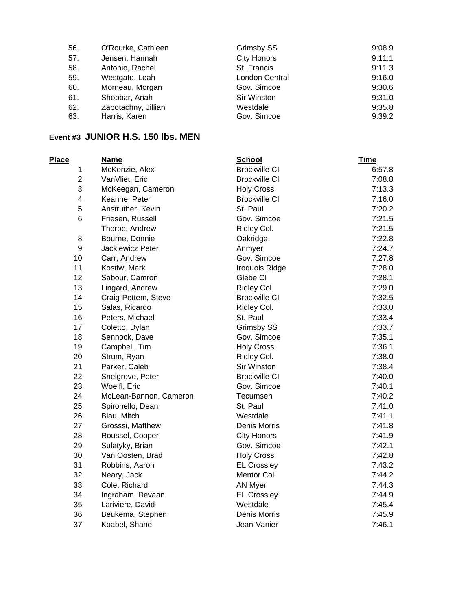| 56. | O'Rourke, Cathleen  | Grimsby SS         | 9:08.9 |
|-----|---------------------|--------------------|--------|
| 57. | Jensen, Hannah      | <b>City Honors</b> | 9:11.1 |
| 58. | Antonio, Rachel     | St. Francis        | 9:11.3 |
| 59. | Westgate, Leah      | London Central     | 9:16.0 |
| 60. | Morneau, Morgan     | Gov. Simcoe        | 9:30.6 |
| 61. | Shobbar, Anah       | Sir Winston        | 9:31.0 |
| 62. | Zapotachny, Jillian | Westdale           | 9:35.8 |
| 63. | Harris, Karen       | Gov. Simcoe        | 9:39.2 |

#### **Event #3 JUNIOR H.S. 150 lbs. MEN**

| Place            | <b>Name</b>             | <b>School</b>        | <b>Time</b> |
|------------------|-------------------------|----------------------|-------------|
| 1                | McKenzie, Alex          | <b>Brockville CI</b> | 6:57.8      |
| $\overline{2}$   | VanVliet, Eric          | <b>Brockville CI</b> | 7:08.8      |
| 3                | McKeegan, Cameron       | <b>Holy Cross</b>    | 7:13.3      |
| 4                | Keanne, Peter           | <b>Brockville CI</b> | 7:16.0      |
| 5                | Anstruther, Kevin       | St. Paul             | 7:20.2      |
| 6                | Friesen, Russell        | Gov. Simcoe          | 7:21.5      |
|                  | Thorpe, Andrew          | Ridley Col.          | 7:21.5      |
| 8                | Bourne, Donnie          | Oakridge             | 7:22.8      |
| $\boldsymbol{9}$ | <b>Jackiewicz Peter</b> | Anmyer               | 7:24.7      |
| 10               | Carr, Andrew            | Gov. Simcoe          | 7:27.8      |
| 11               | Kostiw, Mark            | Iroquois Ridge       | 7:28.0      |
| 12               | Sabour, Camron          | Glebe CI             | 7:28.1      |
| 13               | Lingard, Andrew         | Ridley Col.          | 7:29.0      |
| 14               | Craig-Pettem, Steve     | <b>Brockville CI</b> | 7:32.5      |
| 15               | Salas, Ricardo          | Ridley Col.          | 7:33.0      |
| 16               | Peters, Michael         | St. Paul             | 7:33.4      |
| 17               | Coletto, Dylan          | Grimsby SS           | 7:33.7      |
| 18               | Sennock, Dave           | Gov. Simcoe          | 7:35.1      |
| 19               | Campbell, Tim           | <b>Holy Cross</b>    | 7:36.1      |
| 20               | Strum, Ryan             | Ridley Col.          | 7:38.0      |
| 21               | Parker, Caleb           | Sir Winston          | 7:38.4      |
| 22               | Snelgrove, Peter        | <b>Brockville CI</b> | 7:40.0      |
| 23               | Woelfl, Eric            | Gov. Simcoe          | 7:40.1      |
| 24               | McLean-Bannon, Cameron  | Tecumseh             | 7:40.2      |
| 25               | Spironello, Dean        | St. Paul             | 7:41.0      |
| 26               | Blau, Mitch             | Westdale             | 7:41.1      |
| 27               | Grosssi, Matthew        | Denis Morris         | 7:41.8      |
| 28               | Roussel, Cooper         | <b>City Honors</b>   | 7:41.9      |
| 29               | Sulatyky, Brian         | Gov. Simcoe          | 7:42.1      |
| 30               | Van Oosten, Brad        | <b>Holy Cross</b>    | 7:42.8      |
| 31               | Robbins, Aaron          | <b>EL Crossley</b>   | 7:43.2      |
| 32               | Neary, Jack             | Mentor Col.          | 7:44.2      |
| 33               | Cole, Richard           | <b>AN Myer</b>       | 7:44.3      |
| 34               | Ingraham, Devaan        | <b>EL Crossley</b>   | 7:44.9      |
| 35               | Lariviere, David        | Westdale             | 7:45.4      |
| 36               | Beukema, Stephen        | Denis Morris         | 7:45.9      |
| 37               | Koabel, Shane           | Jean-Vanier          | 7:46.1      |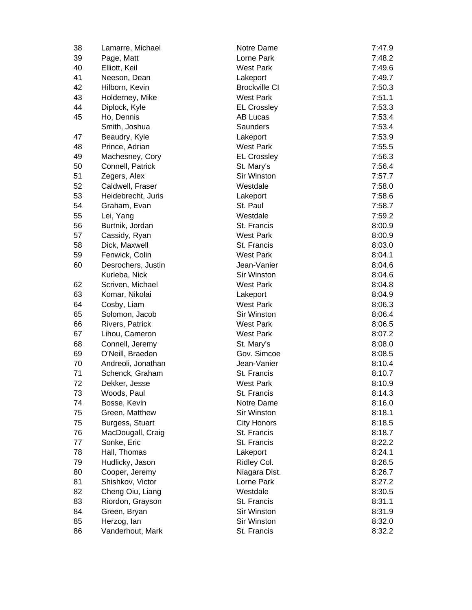| 38 | Lamarre, Michael   | Notre Dame           | 7:47.9 |
|----|--------------------|----------------------|--------|
| 39 | Page, Matt         | Lorne Park           | 7:48.2 |
| 40 | Elliott, Keil      | <b>West Park</b>     | 7:49.6 |
| 41 | Neeson, Dean       | Lakeport             | 7:49.7 |
| 42 | Hilborn, Kevin     | <b>Brockville CI</b> | 7:50.3 |
| 43 | Holderney, Mike    | <b>West Park</b>     | 7:51.1 |
| 44 | Diplock, Kyle      | <b>EL Crossley</b>   | 7:53.3 |
| 45 | Ho, Dennis         | AB Lucas             | 7:53.4 |
|    | Smith, Joshua      | Saunders             | 7:53.4 |
| 47 | Beaudry, Kyle      | Lakeport             | 7:53.9 |
| 48 | Prince, Adrian     | <b>West Park</b>     | 7:55.5 |
| 49 | Machesney, Cory    | <b>EL Crossley</b>   | 7:56.3 |
| 50 | Connell, Patrick   | St. Mary's           | 7:56.4 |
| 51 | Zegers, Alex       | Sir Winston          | 7:57.7 |
| 52 | Caldwell, Fraser   | Westdale             | 7:58.0 |
| 53 | Heidebrecht, Juris | Lakeport             | 7:58.6 |
| 54 | Graham, Evan       | St. Paul             | 7:58.7 |
| 55 | Lei, Yang          | Westdale             | 7:59.2 |
| 56 | Burtnik, Jordan    | St. Francis          | 8:00.9 |
| 57 | Cassidy, Ryan      | West Park            | 8:00.9 |
| 58 | Dick, Maxwell      | St. Francis          | 8:03.0 |
| 59 | Fenwick, Colin     | <b>West Park</b>     | 8:04.1 |
| 60 | Desrochers, Justin | Jean-Vanier          | 8:04.6 |
|    | Kurleba, Nick      | Sir Winston          | 8:04.6 |
| 62 | Scriven, Michael   | <b>West Park</b>     | 8:04.8 |
| 63 | Komar, Nikolai     | Lakeport             | 8:04.9 |
| 64 | Cosby, Liam        | <b>West Park</b>     | 8:06.3 |
| 65 | Solomon, Jacob     | Sir Winston          | 8:06.4 |
| 66 | Rivers, Patrick    | <b>West Park</b>     | 8:06.5 |
| 67 | Lihou, Cameron     | <b>West Park</b>     | 8:07.2 |
| 68 | Connell, Jeremy    | St. Mary's           | 8:08.0 |
| 69 | O'Neill, Braeden   | Gov. Simcoe          | 8:08.5 |
| 70 | Andreoli, Jonathan | Jean-Vanier          | 8:10.4 |
| 71 | Schenck, Graham    | St. Francis          | 8:10.7 |
| 72 | Dekker, Jesse      | West Park            | 8:10.9 |
| 73 | Woods, Paul        | St. Francis          | 8:14.3 |
| 74 | Bosse, Kevin       | Notre Dame           | 8:16.0 |
| 75 | Green, Matthew     | Sir Winston          | 8:18.1 |
| 75 | Burgess, Stuart    | <b>City Honors</b>   | 8:18.5 |
| 76 | MacDougall, Craig  | St. Francis          | 8:18.7 |
| 77 | Sonke, Eric        | St. Francis          | 8:22.2 |
| 78 | Hall, Thomas       | Lakeport             | 8:24.1 |
| 79 | Hudlicky, Jason    | Ridley Col.          | 8:26.5 |
| 80 | Cooper, Jeremy     | Niagara Dist.        | 8:26.7 |
| 81 | Shishkov, Victor   | Lorne Park           | 8:27.2 |
| 82 | Cheng Oiu, Liang   | Westdale             | 8:30.5 |
| 83 | Riordon, Grayson   | St. Francis          | 8:31.1 |
| 84 | Green, Bryan       | Sir Winston          | 8:31.9 |
| 85 | Herzog, lan        | Sir Winston          | 8:32.0 |
| 86 | Vanderhout, Mark   | St. Francis          | 8:32.2 |
|    |                    |                      |        |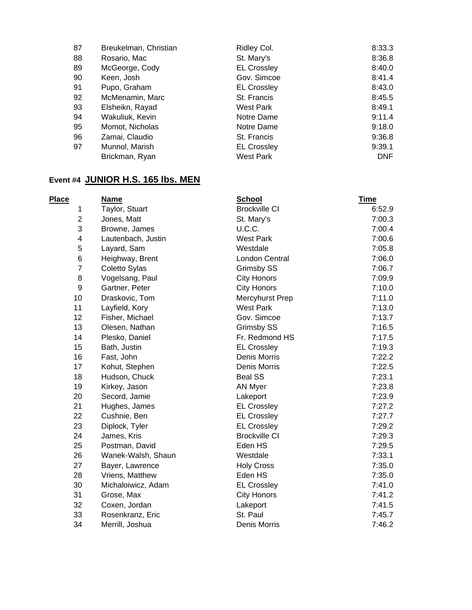| Breukelman, Christian | Ridley Col.        | 8:33.3 |
|-----------------------|--------------------|--------|
| Rosario, Mac          | St. Mary's         | 8:36.8 |
| McGeorge, Cody        | <b>EL Crossley</b> | 8:40.0 |
| Keen, Josh            | Gov. Simcoe        | 8:41.4 |
| Pupo, Graham          | <b>EL Crossley</b> | 8:43.0 |
| McMenamin, Marc       | St. Francis        | 8:45.5 |
| Elsheikn, Rayad       | West Park          | 8:49.1 |
| Wakuliuk, Kevin       | Notre Dame         | 9:11.4 |
| Momot, Nicholas       | Notre Dame         | 9:18.0 |
| Zamai, Claudio        | St. Francis        | 9:36.8 |
| Munnol, Marish        | <b>EL Crossley</b> | 9:39.1 |
| Brickman, Ryan        | <b>West Park</b>   | DNF    |
|                       |                    |        |

# **Event #4 JUNIOR H.S. 165 lbs. MEN**

| <b>Place</b>     | <b>Name</b>        | <b>School</b>        | <b>Time</b> |
|------------------|--------------------|----------------------|-------------|
| 1                | Taylor, Stuart     | <b>Brockville CI</b> | 6:52.9      |
| $\overline{2}$   | Jones, Matt        | St. Mary's           | 7:00.3      |
| 3                | Browne, James      | U.C.C.               | 7:00.4      |
| 4                | Lautenbach, Justin | <b>West Park</b>     | 7:00.6      |
| 5                | Layard, Sam        | Westdale             | 7:05.8      |
| 6                | Heighway, Brent    | London Central       | 7:06.0      |
| $\overline{7}$   | Coletto Sylas      | <b>Grimsby SS</b>    | 7:06.7      |
| 8                | Vogelsang, Paul    | <b>City Honors</b>   | 7:09.9      |
| $\boldsymbol{9}$ | Gartner, Peter     | <b>City Honors</b>   | 7:10.0      |
| 10               | Draskovic, Tom     | Mercyhurst Prep      | 7:11.0      |
| 11               | Layfield, Kory     | <b>West Park</b>     | 7:13.0      |
| 12               | Fisher, Michael    | Gov. Simcoe          | 7:13.7      |
| 13               | Olesen, Nathan     | <b>Grimsby SS</b>    | 7:16.5      |
| 14               | Plesko, Daniel     | Fr. Redmond HS       | 7:17.5      |
| 15               | Bath, Justin       | <b>EL Crossley</b>   | 7:19.3      |
| 16               | Fast, John         | Denis Morris         | 7:22.2      |
| 17               | Kohut, Stephen     | <b>Denis Morris</b>  | 7:22.5      |
| 18               | Hudson, Chuck      | <b>Beal SS</b>       | 7:23.1      |
| 19               | Kirkey, Jason      | <b>AN Myer</b>       | 7:23.8      |
| 20               | Secord, Jamie      | Lakeport             | 7:23.9      |
| 21               | Hughes, James      | <b>EL Crossley</b>   | 7:27.2      |
| 22               | Cushnie, Ben       | <b>EL Crossley</b>   | 7:27.7      |
| 23               | Diplock, Tyler     | <b>EL Crossley</b>   | 7:29.2      |
| 24               | James, Kris        | <b>Brockville CI</b> | 7:29.3      |
| 25               | Postman, David     | Eden HS              | 7:29.5      |
| 26               | Wanek-Walsh, Shaun | Westdale             | 7:33.1      |
| 27               | Bayer, Lawrence    | <b>Holy Cross</b>    | 7:35.0      |
| 28               | Vriens, Matthew    | Eden HS              | 7:35.0      |
| 30               | Michaloiwicz, Adam | <b>EL Crossley</b>   | 7:41.0      |
| 31               | Grose, Max         | <b>City Honors</b>   | 7:41.2      |
| 32               | Coxen, Jordan      | Lakeport             | 7:41.5      |
| 33               | Rosenkranz, Eric   | St. Paul             | 7:45.7      |
| 34               | Merrill, Joshua    | Denis Morris         | 7:46.2      |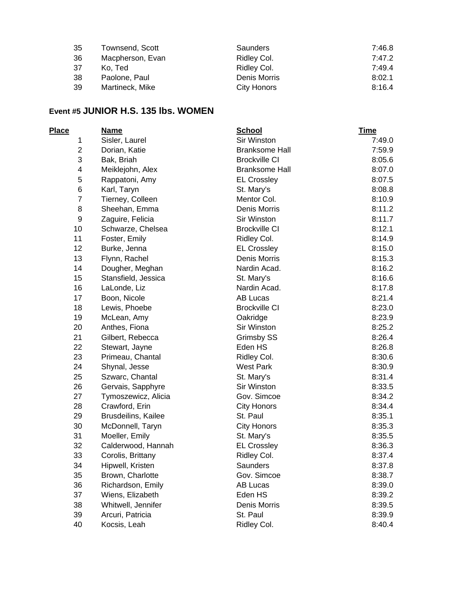| -35 | Townsend, Scott  | Saunders     | 7:46.8 |
|-----|------------------|--------------|--------|
| -36 | Macpherson, Evan | Ridley Col.  | 7:47.2 |
| -37 | Ko. Ted          | Ridley Col.  | 7:49.4 |
| -38 | Paolone, Paul    | Denis Morris | 8:02.1 |
| -39 | Martineck, Mike  | City Honors  | 8:16.4 |

### **Event #5 JUNIOR H.S. 135 lbs. WOMEN**

| Place                   | <b>Name</b>         | <b>School</b>         | <b>Time</b> |
|-------------------------|---------------------|-----------------------|-------------|
| 1                       | Sisler, Laurel      | Sir Winston           | 7:49.0      |
| $\overline{\mathbf{c}}$ | Dorian, Katie       | <b>Branksome Hall</b> | 7:59.9      |
| 3                       | Bak, Briah          | <b>Brockville CI</b>  | 8:05.6      |
| 4                       | Meiklejohn, Alex    | <b>Branksome Hall</b> | 8:07.0      |
| 5                       | Rappatoni, Amy      | <b>EL Crossley</b>    | 8:07.5      |
| 6                       | Karl, Taryn         | St. Mary's            | 8:08.8      |
| $\overline{7}$          | Tierney, Colleen    | Mentor Col.           | 8:10.9      |
| 8                       | Sheehan, Emma       | Denis Morris          | 8:11.2      |
| 9                       | Zaguire, Felicia    | Sir Winston           | 8:11.7      |
| 10                      | Schwarze, Chelsea   | <b>Brockville CI</b>  | 8:12.1      |
| 11                      | Foster, Emily       | Ridley Col.           | 8:14.9      |
| 12                      | Burke, Jenna        | <b>EL Crossley</b>    | 8:15.0      |
| 13                      | Flynn, Rachel       | Denis Morris          | 8:15.3      |
| 14                      | Dougher, Meghan     | Nardin Acad.          | 8:16.2      |
| 15                      | Stansfield, Jessica | St. Mary's            | 8:16.6      |
| 16                      | LaLonde, Liz        | Nardin Acad.          | 8:17.8      |
| 17                      | Boon, Nicole        | <b>AB Lucas</b>       | 8:21.4      |
| 18                      | Lewis, Phoebe       | <b>Brockville CI</b>  | 8:23.0      |
| 19                      | McLean, Amy         | Oakridge              | 8:23.9      |
| 20                      | Anthes, Fiona       | Sir Winston           | 8:25.2      |
| 21                      | Gilbert, Rebecca    | Grimsby SS            | 8:26.4      |
| 22                      | Stewart, Jayne      | Eden HS               | 8:26.8      |
| 23                      | Primeau, Chantal    | Ridley Col.           | 8:30.6      |
| 24                      | Shynal, Jesse       | <b>West Park</b>      | 8:30.9      |
| 25                      | Szwarc, Chantal     | St. Mary's            | 8:31.4      |
| 26                      | Gervais, Sapphyre   | Sir Winston           | 8:33.5      |
| 27                      | Tymoszewicz, Alicia | Gov. Simcoe           | 8:34.2      |
| 28                      | Crawford, Erin      | <b>City Honors</b>    | 8:34.4      |
| 29                      | Brusdeilins, Kailee | St. Paul              | 8:35.1      |
| 30                      | McDonnell, Taryn    | <b>City Honors</b>    | 8:35.3      |
| 31                      | Moeller, Emily      | St. Mary's            | 8:35.5      |
| 32                      | Calderwood, Hannah  | <b>EL Crossley</b>    | 8:36.3      |
| 33                      | Corolis, Brittany   | Ridley Col.           | 8:37.4      |
| 34                      | Hipwell, Kristen    | <b>Saunders</b>       | 8:37.8      |
| 35                      | Brown, Charlotte    | Gov. Simcoe           | 8:38.7      |
| 36                      | Richardson, Emily   | AB Lucas              | 8:39.0      |
| 37                      | Wiens, Elizabeth    | Eden HS               | 8:39.2      |
| 38                      | Whitwell, Jennifer  | Denis Morris          | 8:39.5      |
| 39                      | Arcuri, Patricia    | St. Paul              | 8:39.9      |
| 40                      | Kocsis, Leah        | Ridley Col.           | 8:40.4      |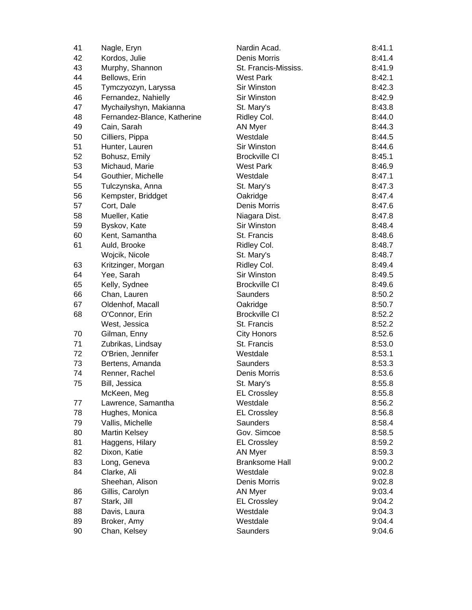| 41 | Nagle, Eryn                 | Nardin Acad.          | 8:41.1 |
|----|-----------------------------|-----------------------|--------|
| 42 | Kordos, Julie               | Denis Morris          | 8:41.4 |
| 43 | Murphy, Shannon             | St. Francis-Mississ.  | 8:41.9 |
| 44 | Bellows, Erin               | <b>West Park</b>      | 8:42.1 |
| 45 | Tymczyozyn, Laryssa         | Sir Winston           | 8:42.3 |
| 46 | Fernandez, Nahielly         | Sir Winston           | 8:42.9 |
| 47 | Mychailyshyn, Makianna      | St. Mary's            | 8:43.8 |
| 48 | Fernandez-Blance, Katherine | Ridley Col.           | 8:44.0 |
| 49 | Cain, Sarah                 | AN Myer               | 8:44.3 |
| 50 | Cilliers, Pippa             | Westdale              | 8:44.5 |
| 51 | Hunter, Lauren              | Sir Winston           | 8:44.6 |
| 52 | Bohusz, Emily               | <b>Brockville CI</b>  | 8:45.1 |
| 53 | Michaud, Marie              | <b>West Park</b>      | 8:46.9 |
| 54 | Gouthier, Michelle          | Westdale              | 8:47.1 |
| 55 | Tulczynska, Anna            | St. Mary's            | 8:47.3 |
| 56 | Kempster, Briddget          | Oakridge              | 8:47.4 |
| 57 | Cort, Dale                  | Denis Morris          | 8:47.6 |
| 58 | Mueller, Katie              | Niagara Dist.         | 8:47.8 |
| 59 | Byskov, Kate                | Sir Winston           | 8:48.4 |
| 60 | Kent, Samantha              | St. Francis           | 8:48.6 |
| 61 | Auld, Brooke                | Ridley Col.           | 8:48.7 |
|    | Wojcik, Nicole              | St. Mary's            | 8:48.7 |
| 63 | Kritzinger, Morgan          | Ridley Col.           | 8:49.4 |
| 64 | Yee, Sarah                  | Sir Winston           | 8:49.5 |
| 65 | Kelly, Sydnee               | <b>Brockville CI</b>  | 8:49.6 |
| 66 | Chan, Lauren                | Saunders              | 8:50.2 |
| 67 | Oldenhof, Macall            | Oakridge              | 8:50.7 |
| 68 | O'Connor, Erin              | <b>Brockville CI</b>  | 8:52.2 |
|    | West, Jessica               | St. Francis           | 8:52.2 |
| 70 | Gilman, Enny                | <b>City Honors</b>    | 8:52.6 |
| 71 | Zubrikas, Lindsay           | St. Francis           | 8:53.0 |
| 72 | O'Brien, Jennifer           | Westdale              | 8:53.1 |
| 73 | Bertens, Amanda             | Saunders              | 8:53.3 |
| 74 | Renner, Rachel              | Denis Morris          | 8:53.6 |
| 75 | Bill, Jessica               | St. Mary's            | 8:55.8 |
|    | McKeen, Meg                 | <b>EL Crossley</b>    | 8:55.8 |
| 77 | Lawrence, Samantha          | Westdale              | 8:56.2 |
| 78 | Hughes, Monica              | <b>EL Crossley</b>    | 8:56.8 |
| 79 | Vallis, Michelle            | <b>Saunders</b>       | 8:58.4 |
| 80 | <b>Martin Kelsey</b>        | Gov. Simcoe           | 8:58.5 |
| 81 | Haggens, Hilary             | <b>EL Crossley</b>    | 8:59.2 |
| 82 | Dixon, Katie                | <b>AN Myer</b>        | 8:59.3 |
| 83 | Long, Geneva                | <b>Branksome Hall</b> | 9:00.2 |
| 84 | Clarke, Ali                 | Westdale              | 9:02.8 |
|    | Sheehan, Alison             | Denis Morris          | 9:02.8 |
| 86 | Gillis, Carolyn             | AN Myer               | 9:03.4 |
| 87 | Stark, Jill                 | <b>EL Crossley</b>    | 9:04.2 |
| 88 | Davis, Laura                | Westdale              | 9:04.3 |
| 89 | Broker, Amy                 | Westdale              | 9:04.4 |
| 90 | Chan, Kelsey                | Saunders              | 9:04.6 |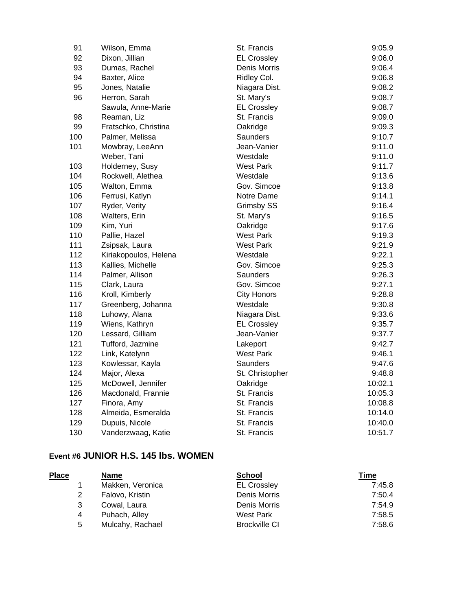| 91  | Wilson, Emma          | St. Francis        | 9:05.9  |
|-----|-----------------------|--------------------|---------|
| 92  | Dixon, Jillian        | <b>EL Crossley</b> | 9:06.0  |
| 93  | Dumas, Rachel         | Denis Morris       | 9:06.4  |
| 94  | Baxter, Alice         | Ridley Col.        | 9:06.8  |
| 95  | Jones, Natalie        | Niagara Dist.      | 9:08.2  |
| 96  | Herron, Sarah         | St. Mary's         | 9:08.7  |
|     | Sawula, Anne-Marie    | <b>EL Crossley</b> | 9:08.7  |
| 98  | Reaman, Liz           | St. Francis        | 9:09.0  |
| 99  | Fratschko, Christina  | Oakridge           | 9:09.3  |
| 100 | Palmer, Melissa       | Saunders           | 9:10.7  |
| 101 | Mowbray, LeeAnn       | Jean-Vanier        | 9:11.0  |
|     | Weber, Tani           | Westdale           | 9:11.0  |
| 103 | Holderney, Susy       | West Park          | 9:11.7  |
| 104 | Rockwell, Alethea     | Westdale           | 9:13.6  |
| 105 | Walton, Emma          | Gov. Simcoe        | 9:13.8  |
| 106 | Ferrusi, Katlyn       | Notre Dame         | 9:14.1  |
| 107 | Ryder, Verity         | Grimsby SS         | 9:16.4  |
| 108 | Walters, Erin         | St. Mary's         | 9:16.5  |
| 109 | Kim, Yuri             | Oakridge           | 9:17.6  |
| 110 | Pallie, Hazel         | <b>West Park</b>   | 9:19.3  |
| 111 | Zsipsak, Laura        | West Park          | 9:21.9  |
| 112 | Kiriakopoulos, Helena | Westdale           | 9:22.1  |
| 113 | Kallies, Michelle     | Gov. Simcoe        | 9:25.3  |
| 114 | Palmer, Allison       | <b>Saunders</b>    | 9:26.3  |
| 115 | Clark, Laura          | Gov. Simcoe        | 9:27.1  |
| 116 | Kroll, Kimberly       | <b>City Honors</b> | 9:28.8  |
| 117 | Greenberg, Johanna    | Westdale           | 9:30.8  |
| 118 | Luhowy, Alana         | Niagara Dist.      | 9:33.6  |
| 119 | Wiens, Kathryn        | <b>EL Crossley</b> | 9:35.7  |
| 120 | Lessard, Gilliam      | Jean-Vanier        | 9:37.7  |
| 121 | Tufford, Jazmine      | Lakeport           | 9:42.7  |
| 122 | Link, Katelynn        | West Park          | 9:46.1  |
| 123 | Kowlessar, Kayla      | Saunders           | 9:47.6  |
| 124 | Major, Alexa          | St. Christopher    | 9:48.8  |
| 125 | McDowell, Jennifer    | Oakridge           | 10:02.1 |
| 126 | Macdonald, Frannie    | St. Francis        | 10:05.3 |
| 127 | Finora, Amy           | St. Francis        | 10:08.8 |
| 128 | Almeida, Esmeralda    | St. Francis        | 10:14.0 |
| 129 | Dupuis, Nicole        | St. Francis        | 10:40.0 |
| 130 | Vanderzwaag, Katie    | St. Francis        | 10:51.7 |

## **Event #6 JUNIOR H.S. 145 lbs. WOMEN**

| <b>Place</b> |   | <b>Name</b>      | <b>School</b>        | Time   |
|--------------|---|------------------|----------------------|--------|
|              |   | Makken, Veronica | <b>EL Crossley</b>   | 7:45.8 |
|              | 2 | Falovo, Kristin  | Denis Morris         | 7:50.4 |
|              | 3 | Cowal, Laura     | Denis Morris         | 7:54.9 |
|              | 4 | Puhach, Alley    | West Park            | 7:58.5 |
|              | 5 | Mulcahy, Rachael | <b>Brockville CI</b> | 7:58.6 |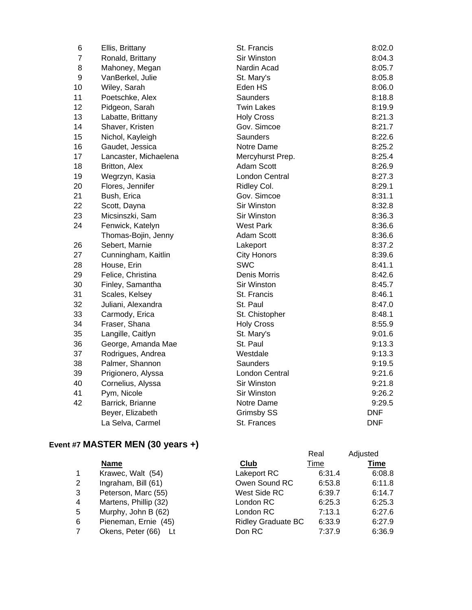| 6              | Ellis, Brittany       | St. Francis           | 8:02.0     |
|----------------|-----------------------|-----------------------|------------|
| $\overline{7}$ | Ronald, Brittany      | Sir Winston           | 8:04.3     |
| 8              | Mahoney, Megan        | Nardin Acad           | 8:05.7     |
| 9              | VanBerkel, Julie      | St. Mary's            | 8:05.8     |
| 10             | Wiley, Sarah          | Eden HS               | 8:06.0     |
| 11             | Poetschke, Alex       | Saunders              | 8:18.8     |
| 12             | Pidgeon, Sarah        | <b>Twin Lakes</b>     | 8:19.9     |
| 13             | Labatte, Brittany     | <b>Holy Cross</b>     | 8:21.3     |
| 14             | Shaver, Kristen       | Gov. Simcoe           | 8:21.7     |
| 15             | Nichol, Kayleigh      | Saunders              | 8:22.6     |
| 16             | Gaudet, Jessica       | Notre Dame            | 8:25.2     |
| 17             | Lancaster, Michaelena | Mercyhurst Prep.      | 8:25.4     |
| 18             | Britton, Alex         | <b>Adam Scott</b>     | 8:26.9     |
| 19             | Wegrzyn, Kasia        | London Central        | 8:27.3     |
| 20             | Flores, Jennifer      | Ridley Col.           | 8:29.1     |
| 21             | Bush, Erica           | Gov. Simcoe           | 8:31.1     |
| 22             | Scott, Dayna          | Sir Winston           | 8:32.8     |
| 23             | Micsinszki, Sam       | <b>Sir Winston</b>    | 8:36.3     |
| 24             | Fenwick, Katelyn      | <b>West Park</b>      | 8:36.6     |
|                | Thomas-Bojin, Jenny   | Adam Scott            | 8:36.6     |
| 26             | Sebert, Marnie        | Lakeport              | 8:37.2     |
| 27             | Cunningham, Kaitlin   | <b>City Honors</b>    | 8:39.6     |
| 28             | House, Erin           | <b>SWC</b>            | 8:41.1     |
| 29             | Felice, Christina     | Denis Morris          | 8:42.6     |
| 30             | Finley, Samantha      | Sir Winston           | 8:45.7     |
| 31             | Scales, Kelsey        | St. Francis           | 8:46.1     |
| 32             | Juliani, Alexandra    | St. Paul              | 8:47.0     |
| 33             | Carmody, Erica        | St. Chistopher        | 8:48.1     |
| 34             | Fraser, Shana         | <b>Holy Cross</b>     | 8:55.9     |
| 35             | Langille, Caitlyn     | St. Mary's            | 9:01.6     |
| 36             | George, Amanda Mae    | St. Paul              | 9:13.3     |
| 37             | Rodrigues, Andrea     | Westdale              | 9:13.3     |
| 38             | Palmer, Shannon       | Saunders              | 9:19.5     |
| 39             | Prigionero, Alyssa    | <b>London Central</b> | 9:21.6     |
| 40             | Cornelius, Alyssa     | Sir Winston           | 9:21.8     |
| 41             | Pym, Nicole           | Sir Winston           | 9:26.2     |
| 42             | Barrick, Brianne      | Notre Dame            | 9:29.5     |
|                | Beyer, Elizabeth      | <b>Grimsby SS</b>     | <b>DNF</b> |
|                | La Selva, Carmel      | St. Frances           | <b>DNF</b> |

# **Event #7 MASTER MEN (30 years +)**

|   |                       |                           | Real   | Adjusted    |
|---|-----------------------|---------------------------|--------|-------------|
|   | <b>Name</b>           | Club                      | Time   | <b>Time</b> |
| 1 | Krawec, Walt (54)     | Lakeport RC               | 6:31.4 | 6:08.8      |
| 2 | Ingraham, Bill (61)   | Owen Sound RC             | 6:53.8 | 6:11.8      |
| 3 | Peterson, Marc (55)   | West Side RC              | 6:39.7 | 6:14.7      |
| 4 | Martens, Phillip (32) | London RC                 | 6:25.3 | 6:25.3      |
| 5 | Murphy, John B (62)   | London RC                 | 7:13.1 | 6:27.6      |
| 6 | Pieneman, Ernie (45)  | <b>Ridley Graduate BC</b> | 6:33.9 | 6:27.9      |
|   | Okens, Peter (66)     | Don RC                    | 7:37.9 | 6:36.9      |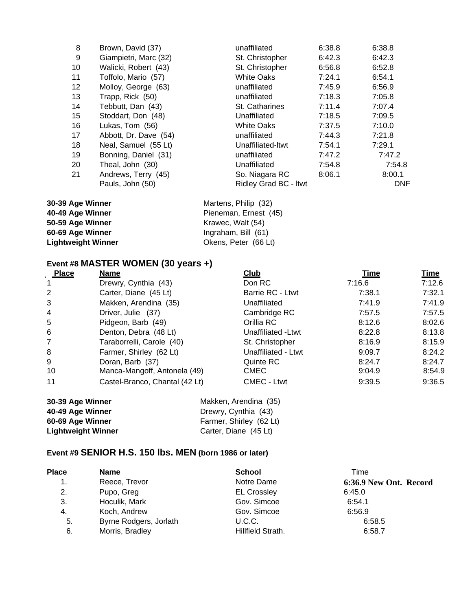| 8       | Brown, David (37)     | unaffiliated          | 6:38.8 | 6:38.8 |
|---------|-----------------------|-----------------------|--------|--------|
| 9       | Giampietri, Marc (32) | St. Christopher       | 6:42.3 | 6:42.3 |
| 10      | Walicki, Robert (43)  | St. Christopher       | 6:56.8 | 6:52.8 |
| 11      | Toffolo, Mario (57)   | <b>White Oaks</b>     | 7:24.1 | 6:54.1 |
| $12 \,$ | Molloy, George (63)   | unaffiliated          | 7:45.9 | 6:56.9 |
| 13      | Trapp, Rick (50)      | unaffiliated          | 7:18.3 | 7:05.8 |
| 14      | Tebbutt, Dan (43)     | St. Catharines        | 7:11.4 | 7:07.4 |
| 15      | Stoddart, Don (48)    | Unaffiliated          | 7:18.5 | 7:09.5 |
| 16      | Lukas, Tom (56)       | <b>White Oaks</b>     | 7:37.5 | 7:10.0 |
| 17      | Abbott, Dr. Dave (54) | unaffiliated          | 7:44.3 | 7:21.8 |
| 18      | Neal, Samuel (55 Lt)  | Unaffiliated-Itwt     | 7:54.1 | 7:29.1 |
| 19      | Bonning, Daniel (31)  | unaffiliated          | 7:47.2 | 7:47.2 |
| 20      | Theal, John (30)      | Unaffiliated          | 7:54.8 | 7:54.8 |
| 21      | Andrews, Terry (45)   | So. Niagara RC        | 8:06.1 | 8:00.1 |
|         | Pauls, John (50)      | Ridley Grad BC - Itwt |        | DNF    |

| 30-39 Age Winner          | Martens, Philip (32)  |
|---------------------------|-----------------------|
| 40-49 Age Winner          | Pieneman, Ernest (45) |
| 50-59 Age Winner          | Krawec, Walt (54)     |
| 60-69 Age Winner          | Ingraham, Bill (61)   |
| <b>Lightweight Winner</b> | Okens, Peter (66 Lt)  |

# **Event #8 MASTER WOMEN (30 years +)**

| <b>Place</b>   | Name                           | <u>Club</u>         | Time   | <u>Time</u> |
|----------------|--------------------------------|---------------------|--------|-------------|
|                | Drewry, Cynthia (43)           | Don RC              | 7:16.6 | 7:12.6      |
| 2              | Carter, Diane (45 Lt)          | Barrie RC - Ltwt    | 7:38.1 | 7:32.1      |
| 3              | Makken, Arendina (35)          | Unaffiliated        | 7:41.9 | 7:41.9      |
| $\overline{4}$ | Driver, Julie (37)             | Cambridge RC        | 7:57.5 | 7:57.5      |
| 5              | Pidgeon, Barb (49)             | Orillia RC          | 8:12.6 | 8:02.6      |
| 6              | Denton, Debra (48 Lt)          | Unaffiliated - Ltwt | 8:22.8 | 8:13.8      |
| $\overline{7}$ | Taraborrelli, Carole (40)      | St. Christopher     | 8:16.9 | 8:15.9      |
| 8              | Farmer, Shirley (62 Lt)        | Unaffiliated - Ltwt | 9:09.7 | 8:24.2      |
| 9              | Doran, Barb (37)               | Quinte RC           | 8:24.7 | 8:24.7      |
| 10             | Manca-Mangoff, Antonela (49)   | <b>CMEC</b>         | 9:04.9 | 8:54.9      |
| 11             | Castel-Branco, Chantal (42 Lt) | CMEC - Ltwt         | 9:39.5 | 9:36.5      |

| 30-39 Age Winner          | Makken, Arendina (35)   |
|---------------------------|-------------------------|
| 40-49 Age Winner          | Drewry, Cynthia (43)    |
| 60-69 Age Winner          | Farmer, Shirley (62 Lt) |
| <b>Lightweight Winner</b> | Carter, Diane (45 Lt)   |

# **Event #9 SENIOR H.S. 150 lbs. MEN (born 1986 or later)**

| <b>Place</b> | <b>Name</b>            | <b>School</b>      | <u>Time</u>            |
|--------------|------------------------|--------------------|------------------------|
| 1.           | Reece, Trevor          | Notre Dame         | 6:36.9 New Ont. Record |
| 2.           | Pupo, Greg             | <b>EL Crossley</b> | 6:45.0                 |
| 3.           | Hoculik, Mark          | Gov. Simcoe        | 6:54.1                 |
| 4.           | Koch, Andrew           | Gov. Simcoe        | 6:56.9                 |
| 5.           | Byrne Rodgers, Jorlath | U.C.C.             | 6:58.5                 |
| 6.           | Morris, Bradley        | Hillfield Strath.  | 6:58.7                 |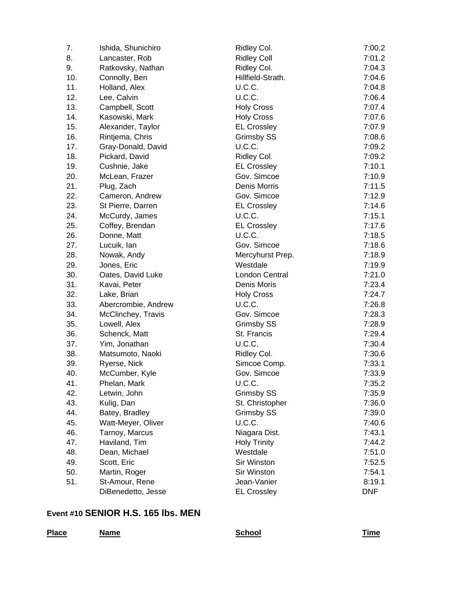| 7.  | Ishida, Shunichiro  | Ridley Col.         | 7:00.2     |
|-----|---------------------|---------------------|------------|
| 8.  | Lancaster, Rob      | <b>Ridley Coll</b>  | 7:01.2     |
| 9.  | Ratkovsky, Nathan   | Ridley Col.         | 7:04.3     |
| 10. | Connolly, Ben       | Hillfield-Strath.   | 7:04.6     |
| 11. | Holland, Alex       | U.C.C.              | 7:04.8     |
| 12. | Lee, Calvin         | U.C.C.              | 7:06.4     |
| 13. | Campbell, Scott     | <b>Holy Cross</b>   | 7:07.4     |
| 14. | Kasowski, Mark      | <b>Holy Cross</b>   | 7:07.6     |
| 15. | Alexander, Taylor   | <b>EL Crossley</b>  | 7:07.9     |
| 16. | Rintjema, Chris     | Grimsby SS          | 7:08.6     |
| 17. | Gray-Donald, David  | U.C.C.              | 7:09.2     |
| 18. | Pickard, David      | Ridley Col.         | 7:09.2     |
| 19. | Cushnie, Jake       | <b>EL Crossley</b>  | 7:10.1     |
| 20. | McLean, Frazer      | Gov. Simcoe         | 7:10.9     |
| 21. | Plug, Zach          | Denis Morris        | 7:11.5     |
| 22. | Cameron, Andrew     | Gov. Simcoe         | 7:12.9     |
| 23. | St Pierre, Darren   | <b>EL Crossley</b>  | 7:14.6     |
| 24. | McCurdy, James      | U.C.C.              | 7:15.1     |
| 25. | Coffey, Brendan     | <b>EL Crossley</b>  | 7:17.6     |
| 26. | Donne, Matt         | U.C.C.              | 7:18.5     |
| 27. | Lucuik, lan         | Gov. Simcoe         | 7:18.6     |
| 28. | Nowak, Andy         | Mercyhurst Prep.    | 7:18.9     |
| 29. | Jones, Eric         | Westdale            | 7:19.9     |
| 30. | Oates, David Luke   | London Central      | 7:21.0     |
| 31. | Kavai, Peter        | Denis Moris         | 7:23.4     |
| 32. | Lake, Brian         | <b>Holy Cross</b>   | 7:24.7     |
| 33. | Abercrombie, Andrew | U.C.C.              | 7:26.8     |
| 34. | McClinchey, Travis  | Gov. Simcoe         | 7:28.3     |
| 35. | Lowell, Alex        | Grimsby SS          | 7:28.9     |
| 36. | Schenck, Matt       | St. Francis         | 7:29.4     |
| 37. | Yim, Jonathan       | U.C.C.              | 7:30.4     |
| 38. | Matsumoto, Naoki    | Ridley Col.         | 7:30.6     |
| 39. | Ryerse, Nick        | Simcoe Comp.        | 7:33.1     |
| 40. | McCumber, Kyle      | Gov. Simcoe         | 7:33.9     |
| 41. | Phelan, Mark        | U.C.C.              | 7:35.2     |
| 42. | Letwin, John        | <b>Grimsby SS</b>   | 7:35.9     |
| 43. | Kulig, Dan          | St. Christopher     | 7:36.0     |
| 44. | Batey, Bradley      | Grimsby SS          | 7:39.0     |
| 45. | Watt-Meyer, Oliver  | U.C.C.              | 7:40.6     |
| 46. | Tarnoy, Marcus      | Niagara Dist.       | 7:43.1     |
| 47. | Haviland, Tim       | <b>Holy Trinity</b> | 7:44.2     |
| 48. | Dean, Michael       | Westdale            | 7:51.0     |
| 49. | Scott, Eric         | Sir Winston         | 7:52.5     |
| 50. | Martin, Roger       | Sir Winston         | 7:54.1     |
| 51. | St-Amour, Rene      | Jean-Vanier         | 8:19.1     |
|     | DiBenedetto, Jesse  | <b>EL Crossley</b>  | <b>DNF</b> |

## **Event #10 SENIOR H.S. 165 lbs. MEN**

| <b>Place</b> | <b>Name</b> | School | <b>Time</b><br>$\sim$ $\sim$ $\sim$ $\sim$ $\sim$ $\sim$ $\sim$ |
|--------------|-------------|--------|-----------------------------------------------------------------|
|              |             |        |                                                                 |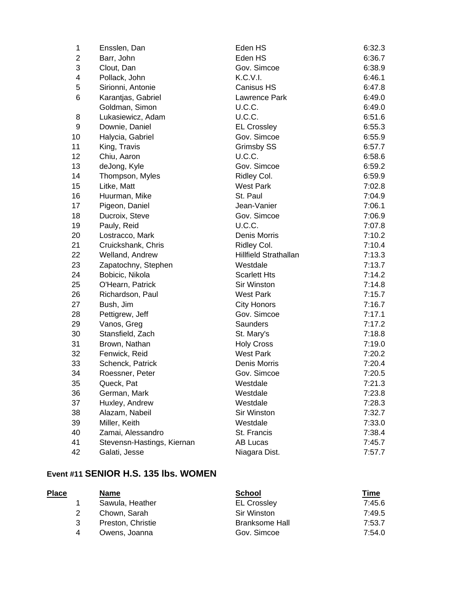| 1  | Ensslen, Dan               | Eden HS               | 6:32.3 |
|----|----------------------------|-----------------------|--------|
| 2  | Barr, John                 | Eden HS               | 6:36.7 |
| 3  | Clout, Dan                 | Gov. Simcoe           | 6:38.9 |
| 4  | Pollack, John              | K.C.V.I.              | 6:46.1 |
| 5  | Sirionni, Antonie          | Canisus HS            | 6:47.8 |
| 6  | Karantjas, Gabriel         | Lawrence Park         | 6:49.0 |
|    | Goldman, Simon             | U.C.C.                | 6:49.0 |
| 8  | Lukasiewicz, Adam          | U.C.C.                | 6:51.6 |
| 9  | Downie, Daniel             | <b>EL Crossley</b>    | 6:55.3 |
| 10 | Halycia, Gabriel           | Gov. Simcoe           | 6:55.9 |
| 11 | King, Travis               | Grimsby SS            | 6:57.7 |
| 12 | Chiu, Aaron                | U.C.C.                | 6:58.6 |
| 13 | deJong, Kyle               | Gov. Simcoe           | 6:59.2 |
| 14 | Thompson, Myles            | Ridley Col.           | 6:59.9 |
| 15 | Litke, Matt                | West Park             | 7:02.8 |
| 16 | Huurman, Mike              | St. Paul              | 7:04.9 |
| 17 | Pigeon, Daniel             | Jean-Vanier           | 7:06.1 |
| 18 | Ducroix, Steve             | Gov. Simcoe           | 7:06.9 |
| 19 | Pauly, Reid                | U.C.C.                | 7:07.8 |
| 20 | Lostracco, Mark            | Denis Morris          | 7:10.2 |
| 21 | Cruickshank, Chris         | Ridley Col.           | 7:10.4 |
| 22 | Welland, Andrew            | Hillfield Strathallan | 7:13.3 |
| 23 | Zapatochny, Stephen        | Westdale              | 7:13.7 |
| 24 | Bobicic, Nikola            | <b>Scarlett Hts</b>   | 7:14.2 |
| 25 | O'Hearn, Patrick           | Sir Winston           | 7:14.8 |
| 26 | Richardson, Paul           | <b>West Park</b>      | 7:15.7 |
| 27 | Bush, Jim                  | <b>City Honors</b>    | 7:16.7 |
| 28 | Pettigrew, Jeff            | Gov. Simcoe           | 7:17.1 |
| 29 | Vanos, Greg                | Saunders              | 7:17.2 |
| 30 | Stansfield, Zach           | St. Mary's            | 7:18.8 |
| 31 | Brown, Nathan              | <b>Holy Cross</b>     | 7:19.0 |
| 32 | Fenwick, Reid              | <b>West Park</b>      | 7:20.2 |
| 33 | Schenck, Patrick           | Denis Morris          | 7:20.4 |
| 34 | Roessner, Peter            | Gov. Simcoe           | 7:20.5 |
| 35 | Queck, Pat                 | Westdale              | 7:21.3 |
| 36 | German, Mark               | Westdale              | 7:23.8 |
| 37 | Huxley, Andrew             | Westdale              | 7:28.3 |
| 38 | Alazam, Nabeil             | Sir Winston           | 7:32.7 |
| 39 | Miller, Keith              | Westdale              | 7:33.0 |
| 40 | Zamai, Alessandro          | St. Francis           | 7:38.4 |
| 41 | Stevensn-Hastings, Kiernan | AB Lucas              | 7:45.7 |
| 42 | Galati, Jesse              | Niagara Dist.         | 7:57.7 |

#### **Event #11 SENIOR H.S. 135 lbs. WOMEN**

|   | <b>Name</b>       | <b>School</b>         | <u>Time</u> |
|---|-------------------|-----------------------|-------------|
|   | Sawula, Heather   | <b>EL Crossley</b>    | 7:45.6      |
| 2 | Chown, Sarah      | Sir Winston           | 7:49.5      |
| 3 | Preston, Christie | <b>Branksome Hall</b> | 7:53.7      |
| 4 | Owens, Joanna     | Gov. Simcoe           | 7:54.0      |
|   |                   |                       |             |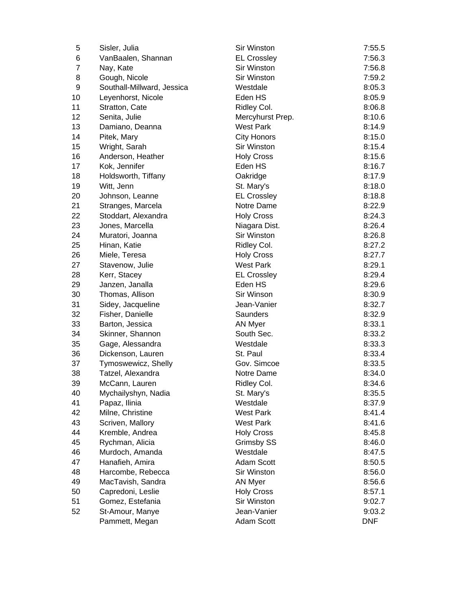| 5              | Sisler, Julia              | Sir Winston        | 7:55.5     |
|----------------|----------------------------|--------------------|------------|
| 6              | VanBaalen, Shannan         | <b>EL Crossley</b> | 7:56.3     |
| $\overline{7}$ | Nay, Kate                  | <b>Sir Winston</b> | 7:56.8     |
| 8              | Gough, Nicole              | Sir Winston        | 7:59.2     |
| 9              | Southall-Millward, Jessica | Westdale           | 8:05.3     |
| 10             | Leyenhorst, Nicole         | Eden HS            | 8:05.9     |
| 11             | Stratton, Cate             | Ridley Col.        | 8:06.8     |
| 12             | Senita, Julie              | Mercyhurst Prep.   | 8:10.6     |
| 13             | Damiano, Deanna            | <b>West Park</b>   | 8:14.9     |
| 14             | Pitek, Mary                | <b>City Honors</b> | 8:15.0     |
| 15             | Wright, Sarah              | Sir Winston        | 8:15.4     |
| 16             | Anderson, Heather          | <b>Holy Cross</b>  | 8:15.6     |
| 17             | Kok, Jennifer              | Eden HS            | 8:16.7     |
| 18             | Holdsworth, Tiffany        | Oakridge           | 8:17.9     |
| 19             | Witt, Jenn                 | St. Mary's         | 8:18.0     |
| 20             | Johnson, Leanne            | <b>EL Crossley</b> | 8:18.8     |
| 21             | Stranges, Marcela          | Notre Dame         | 8:22.9     |
| 22             | Stoddart, Alexandra        | <b>Holy Cross</b>  | 8:24.3     |
| 23             | Jones, Marcella            | Niagara Dist.      | 8:26.4     |
| 24             | Muratori, Joanna           | Sir Winston        | 8:26.8     |
| 25             | Hinan, Katie               | Ridley Col.        | 8:27.2     |
| 26             | Miele, Teresa              | <b>Holy Cross</b>  | 8:27.7     |
| 27             | Stavenow, Julie            | <b>West Park</b>   | 8:29.1     |
| 28             | Kerr, Stacey               | <b>EL Crossley</b> | 8:29.4     |
| 29             | Janzen, Janalla            | Eden HS            | 8:29.6     |
| 30             | Thomas, Allison            | Sir Winson         | 8:30.9     |
| 31             | Sidey, Jacqueline          | Jean-Vanier        | 8:32.7     |
| 32             | Fisher, Danielle           | Saunders           | 8:32.9     |
| 33             | Barton, Jessica            | <b>AN Myer</b>     | 8:33.1     |
| 34             | Skinner, Shannon           | South Sec.         | 8:33.2     |
| 35             | Gage, Alessandra           | Westdale           | 8:33.3     |
| 36             | Dickenson, Lauren          | St. Paul           | 8:33.4     |
| 37             | Tymoswewicz, Shelly        | Gov. Simcoe        | 8:33.5     |
| 38             | Tatzel, Alexandra          | Notre Dame         | 8:34.0     |
| 39             | McCann, Lauren             | Ridley Col.        | 8:34.6     |
| 40             | Mychailyshyn, Nadia        | St. Mary's         | 8:35.5     |
| 41             | Papaz, Ilinia              | Westdale           | 8:37.9     |
| 42             | Milne, Christine           | <b>West Park</b>   | 8:41.4     |
| 43             | Scriven, Mallory           | <b>West Park</b>   | 8:41.6     |
| 44             | Kremble, Andrea            | <b>Holy Cross</b>  | 8:45.8     |
| 45             | Rychman, Alicia            | Grimsby SS         | 8:46.0     |
| 46             | Murdoch, Amanda            | Westdale           | 8:47.5     |
| 47             | Hanafieh, Amira            | Adam Scott         | 8:50.5     |
| 48             | Harcombe, Rebecca          | Sir Winston        | 8:56.0     |
| 49             | MacTavish, Sandra          | <b>AN Myer</b>     | 8:56.6     |
| 50             | Capredoni, Leslie          | <b>Holy Cross</b>  | 8:57.1     |
| 51             | Gomez, Estefania           | Sir Winston        | 9:02.7     |
| 52             | St-Amour, Manye            | Jean-Vanier        | 9:03.2     |
|                | Pammett, Megan             | Adam Scott         | <b>DNF</b> |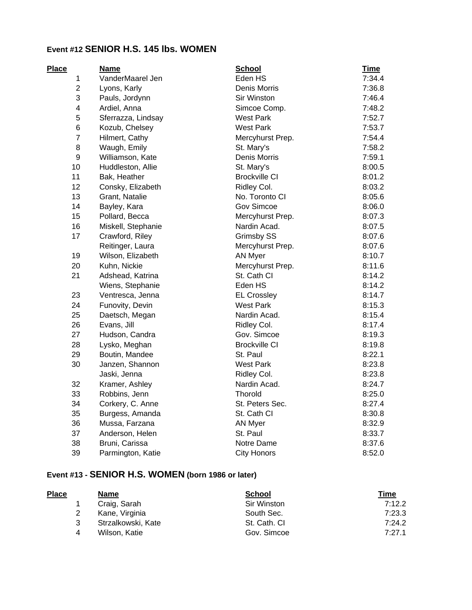## **Event #12 SENIOR H.S. 145 lbs. WOMEN**

| <b>Place</b>     | <b>Name</b>        | <b>School</b>        | <b>Time</b> |
|------------------|--------------------|----------------------|-------------|
| 1                | VanderMaarel Jen   | Eden HS              | 7:34.4      |
| $\overline{2}$   | Lyons, Karly       | Denis Morris         | 7:36.8      |
| 3                | Pauls, Jordynn     | Sir Winston          | 7:46.4      |
| 4                | Ardiel, Anna       | Simcoe Comp.         | 7:48.2      |
| 5                | Sferrazza, Lindsay | <b>West Park</b>     | 7:52.7      |
| 6                | Kozub, Chelsey     | <b>West Park</b>     | 7:53.7      |
| $\overline{7}$   | Hilmert, Cathy     | Mercyhurst Prep.     | 7:54.4      |
| 8                | Waugh, Emily       | St. Mary's           | 7:58.2      |
| $\boldsymbol{9}$ | Williamson, Kate   | Denis Morris         | 7:59.1      |
| 10               | Huddleston, Allie  | St. Mary's           | 8:00.5      |
| 11               | Bak, Heather       | <b>Brockville CI</b> | 8:01.2      |
| 12               | Consky, Elizabeth  | Ridley Col.          | 8:03.2      |
| 13               | Grant, Natalie     | No. Toronto CI       | 8:05.6      |
| 14               | Bayley, Kara       | Gov Simcoe           | 8:06.0      |
| 15               | Pollard, Becca     | Mercyhurst Prep.     | 8:07.3      |
| 16               | Miskell, Stephanie | Nardin Acad.         | 8:07.5      |
| 17               | Crawford, Riley    | <b>Grimsby SS</b>    | 8:07.6      |
|                  | Reitinger, Laura   | Mercyhurst Prep.     | 8:07.6      |
| 19               | Wilson, Elizabeth  | <b>AN Myer</b>       | 8:10.7      |
| 20               | Kuhn, Nickie       | Mercyhurst Prep.     | 8:11.6      |
| 21               | Adshead, Katrina   | St. Cath CI          | 8:14.2      |
|                  | Wiens, Stephanie   | Eden HS              | 8:14.2      |
| 23               | Ventresca, Jenna   | <b>EL Crossley</b>   | 8:14.7      |
| 24               | Funovity, Devin    | <b>West Park</b>     | 8:15.3      |
| 25               | Daetsch, Megan     | Nardin Acad.         | 8:15.4      |
| 26               | Evans, Jill        | Ridley Col.          | 8:17.4      |
| 27               | Hudson, Candra     | Gov. Simcoe          | 8:19.3      |
| 28               | Lysko, Meghan      | <b>Brockville CI</b> | 8:19.8      |
| 29               | Boutin, Mandee     | St. Paul             | 8:22.1      |
| 30               | Janzen, Shannon    | <b>West Park</b>     | 8:23.8      |
|                  | Jaski, Jenna       | Ridley Col.          | 8:23.8      |
| 32               | Kramer, Ashley     | Nardin Acad.         | 8:24.7      |
| 33               | Robbins, Jenn      | <b>Thorold</b>       | 8:25.0      |
| 34               | Corkery, C. Anne   | St. Peters Sec.      | 8:27.4      |
| 35               | Burgess, Amanda    | St. Cath CI          | 8:30.8      |
| 36               | Mussa, Farzana     | AN Myer              | 8:32.9      |
| 37               | Anderson, Helen    | St. Paul             | 8:33.7      |
| 38               | Bruni, Carissa     | Notre Dame           | 8:37.6      |
| 39               | Parmington, Katie  | <b>City Honors</b>   | 8:52.0      |

# **Event #13 - SENIOR H.S. WOMEN (born 1986 or later)**

| <b>Place</b> | <b>Name</b>        | <b>School</b> | <u>Time</u> |
|--------------|--------------------|---------------|-------------|
|              | Craig, Sarah       | Sir Winston   | 7:12.2      |
|              | Kane, Virginia     | South Sec.    | 7:23.3      |
| 3            | Strzalkowski, Kate | St. Cath. CI  | 7:24.2      |
| 4            | Wilson, Katie      | Gov. Simcoe   | 7:27.1      |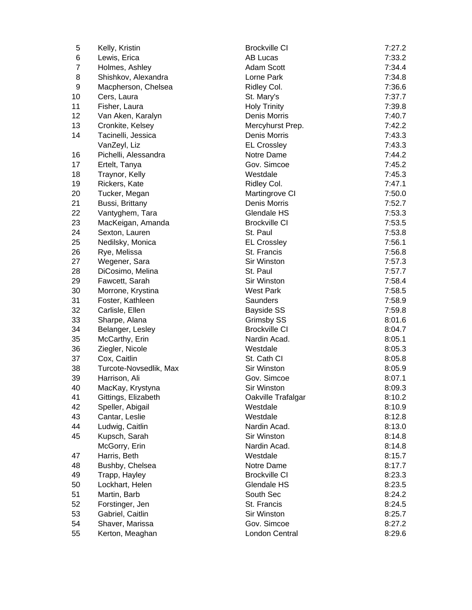| 5              | Kelly, Kristin         | <b>Brockville CI</b> | 7:27.2 |
|----------------|------------------------|----------------------|--------|
| 6              | Lewis, Erica           | <b>AB Lucas</b>      | 7:33.2 |
| $\overline{7}$ | Holmes, Ashley         | <b>Adam Scott</b>    | 7:34.4 |
| 8              | Shishkov, Alexandra    | Lorne Park           | 7:34.8 |
| 9              | Macpherson, Chelsea    | Ridley Col.          | 7:36.6 |
| 10             | Cers, Laura            | St. Mary's           | 7:37.7 |
| 11             | Fisher, Laura          | <b>Holy Trinity</b>  | 7:39.8 |
| 12             | Van Aken, Karalyn      | Denis Morris         | 7:40.7 |
| 13             | Cronkite, Kelsey       | Mercyhurst Prep.     | 7:42.2 |
| 14             | Tacinelli, Jessica     | Denis Morris         | 7:43.3 |
|                | VanZeyl, Liz           | <b>EL Crossley</b>   | 7:43.3 |
| 16             | Pichelli, Alessandra   | Notre Dame           | 7:44.2 |
| 17             | Ertelt, Tanya          | Gov. Simcoe          | 7:45.2 |
| 18             | Traynor, Kelly         | Westdale             | 7:45.3 |
| 19             | Rickers, Kate          | Ridley Col.          | 7:47.1 |
| 20             | Tucker, Megan          | Martingrove CI       | 7:50.0 |
| 21             | Bussi, Brittany        | Denis Morris         | 7:52.7 |
| 22             | Vantyghem, Tara        | Glendale HS          | 7:53.3 |
| 23             | MacKeigan, Amanda      | <b>Brockville CI</b> | 7:53.5 |
| 24             | Sexton, Lauren         | St. Paul             | 7:53.8 |
| 25             | Nedilsky, Monica       | <b>EL Crossley</b>   | 7:56.1 |
| 26             | Rye, Melissa           | St. Francis          | 7:56.8 |
| 27             | Wegener, Sara          | Sir Winston          | 7:57.3 |
| 28             | DiCosimo, Melina       | St. Paul             | 7:57.7 |
| 29             | Fawcett, Sarah         | Sir Winston          | 7:58.4 |
| 30             | Morrone, Krystina      | <b>West Park</b>     | 7:58.5 |
| 31             | Foster, Kathleen       | Saunders             | 7:58.9 |
| 32             | Carlisle, Ellen        | <b>Bayside SS</b>    | 7:59.8 |
| 33             | Sharpe, Alana          | Grimsby SS           | 8:01.6 |
| 34             | Belanger, Lesley       | <b>Brockville CI</b> | 8:04.7 |
| 35             | McCarthy, Erin         | Nardin Acad.         | 8:05.1 |
| 36             | Ziegler, Nicole        | Westdale             | 8:05.3 |
| 37             | Cox, Caitlin           | St. Cath CI          | 8:05.8 |
| 38             | Turcote-Novsedlik, Max | Sir Winston          | 8:05.9 |
| 39             | Harrison, Ali          | Gov. Simcoe          | 8:07.1 |
| 40             | MacKay, Krystyna       | Sir Winston          | 8:09.3 |
| 41             | Gittings, Elizabeth    | Oakville Trafalgar   | 8:10.2 |
| 42             | Speller, Abigail       | Westdale             | 8:10.9 |
| 43             | Cantar, Leslie         | Westdale             | 8:12.8 |
| 44             | Ludwig, Caitlin        | Nardin Acad.         | 8:13.0 |
| 45             | Kupsch, Sarah          | Sir Winston          | 8:14.8 |
|                | McGorry, Erin          | Nardin Acad.         | 8:14.8 |
| 47             | Harris, Beth           | Westdale             | 8:15.7 |
| 48             | Bushby, Chelsea        | Notre Dame           | 8:17.7 |
| 49             | Trapp, Hayley          | <b>Brockville CI</b> | 8:23.3 |
| 50             | Lockhart, Helen        | Glendale HS          | 8:23.5 |
| 51             | Martin, Barb           | South Sec            | 8:24.2 |
| 52             | Forstinger, Jen        | St. Francis          | 8:24.5 |
| 53             | Gabriel, Caitlin       | Sir Winston          | 8:25.7 |
| 54             | Shaver, Marissa        | Gov. Simcoe          | 8:27.2 |
| 55             |                        | London Central       | 8:29.6 |
|                | Kerton, Meaghan        |                      |        |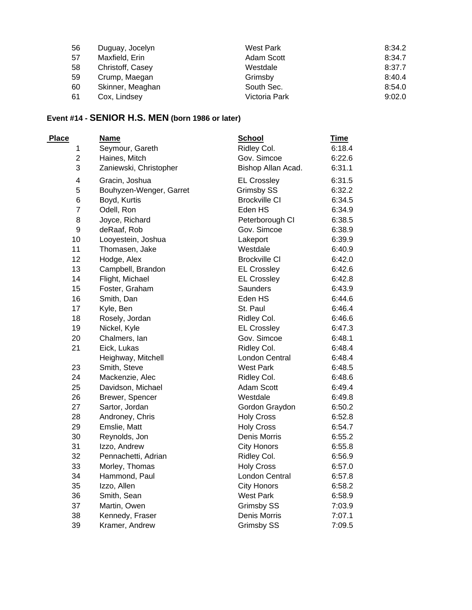| 56 | Duguay, Jocelyn  | West Park     | 8:34.2 |
|----|------------------|---------------|--------|
| 57 | Maxfield, Erin   | Adam Scott    | 8:34.7 |
| 58 | Christoff, Casey | Westdale      | 8:37.7 |
| 59 | Crump, Maegan    | Grimsby       | 8:40.4 |
| 60 | Skinner, Meaghan | South Sec.    | 8:54.0 |
| 61 | Cox, Lindsey     | Victoria Park | 9:02.0 |

# **Event #14 - SENIOR H.S. MEN (born 1986 or later)**

| <b>Place</b>     | <b>Name</b>             | <b>School</b>        | <b>Time</b> |
|------------------|-------------------------|----------------------|-------------|
| 1                | Seymour, Gareth         | Ridley Col.          | 6:18.4      |
| $\overline{c}$   | Haines, Mitch           | Gov. Simcoe          | 6:22.6      |
| 3                | Zaniewski, Christopher  | Bishop Allan Acad.   | 6:31.1      |
| 4                | Gracin, Joshua          | <b>EL Crossley</b>   | 6:31.5      |
| 5                | Bouhyzen-Wenger, Garret | <b>Grimsby SS</b>    | 6:32.2      |
| 6                | Boyd, Kurtis            | <b>Brockville CI</b> | 6:34.5      |
| $\overline{7}$   | Odell, Ron              | Eden HS              | 6:34.9      |
| 8                | Joyce, Richard          | Peterborough CI      | 6:38.5      |
| $\boldsymbol{9}$ | deRaaf, Rob             | Gov. Simcoe          | 6:38.9      |
| 10               | Looyestein, Joshua      | Lakeport             | 6:39.9      |
| 11               | Thomasen, Jake          | Westdale             | 6:40.9      |
| 12               | Hodge, Alex             | <b>Brockville CI</b> | 6:42.0      |
| 13               | Campbell, Brandon       | <b>EL Crossley</b>   | 6:42.6      |
| 14               | Flight, Michael         | <b>EL Crossley</b>   | 6:42.8      |
| 15               | Foster, Graham          | Saunders             | 6:43.9      |
| 16               | Smith, Dan              | Eden HS              | 6:44.6      |
| 17               | Kyle, Ben               | St. Paul             | 6:46.4      |
| 18               | Rosely, Jordan          | Ridley Col.          | 6:46.6      |
| 19               | Nickel, Kyle            | <b>EL Crossley</b>   | 6:47.3      |
| 20               | Chalmers, lan           | Gov. Simcoe          | 6:48.1      |
| 21               | Eick, Lukas             | Ridley Col.          | 6:48.4      |
|                  | Heighway, Mitchell      | London Central       | 6:48.4      |
| 23               | Smith, Steve            | <b>West Park</b>     | 6:48.5      |
| 24               | Mackenzie, Alec         | Ridley Col.          | 6:48.6      |
| 25               | Davidson, Michael       | <b>Adam Scott</b>    | 6:49.4      |
| 26               | Brewer, Spencer         | Westdale             | 6:49.8      |
| 27               | Sartor, Jordan          | Gordon Graydon       | 6:50.2      |
| 28               | Androney, Chris         | <b>Holy Cross</b>    | 6:52.8      |
| 29               | Emslie, Matt            | <b>Holy Cross</b>    | 6:54.7      |
| 30               | Reynolds, Jon           | Denis Morris         | 6:55.2      |
| 31               | Izzo, Andrew            | <b>City Honors</b>   | 6:55.8      |
| 32               | Pennachetti, Adrian     | Ridley Col.          | 6:56.9      |
| 33               | Morley, Thomas          | <b>Holy Cross</b>    | 6:57.0      |
| 34               | Hammond, Paul           | London Central       | 6:57.8      |
| 35               | Izzo, Allen             | <b>City Honors</b>   | 6:58.2      |
| 36               | Smith, Sean             | <b>West Park</b>     | 6:58.9      |
| 37               | Martin, Owen            | Grimsby SS           | 7:03.9      |
| 38               | Kennedy, Fraser         | Denis Morris         | 7:07.1      |
| 39               | Kramer, Andrew          | <b>Grimsby SS</b>    | 7:09.5      |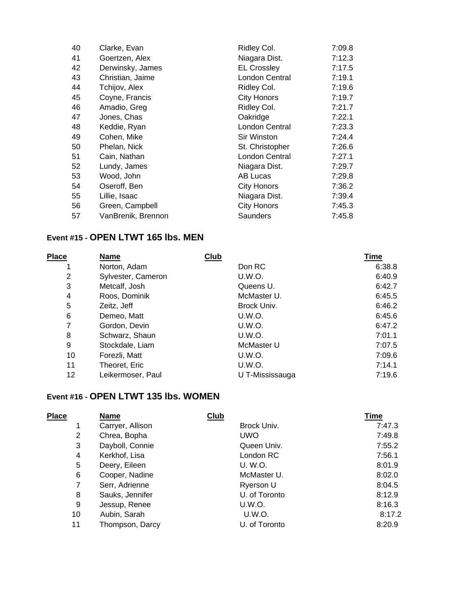| 40 | Clarke, Evan       | Ridley Col.        | 7:09.8 |
|----|--------------------|--------------------|--------|
| 41 | Goertzen, Alex     | Niagara Dist.      | 7:12.3 |
| 42 | Derwinsky, James   | <b>EL Crossley</b> | 7:17.5 |
| 43 | Christian, Jaime   | London Central     | 7:19.1 |
| 44 | Tchijov, Alex      | Ridley Col.        | 7:19.6 |
| 45 | Coyne, Francis     | <b>City Honors</b> | 7:19.7 |
| 46 | Amadio, Greg       | Ridley Col.        | 7:21.7 |
| 47 | Jones, Chas        | Oakridge           | 7:22.1 |
| 48 | Keddie, Ryan       | London Central     | 7:23.3 |
| 49 | Cohen, Mike        | Sir Winston        | 7:24.4 |
| 50 | Phelan, Nick       | St. Christopher    | 7:26.6 |
| 51 | Cain, Nathan       | London Central     | 7:27.1 |
| 52 | Lundy, James       | Niagara Dist.      | 7:29.7 |
| 53 | Wood, John         | AB Lucas           | 7:29.8 |
| 54 | Oseroff, Ben       | <b>City Honors</b> | 7:36.2 |
| 55 | Lillie, Isaac      | Niagara Dist.      | 7:39.4 |
| 56 | Green, Campbell    | <b>City Honors</b> | 7:45.3 |
| 57 | VanBrenik, Brennon | Saunders           | 7:45.8 |

#### **Event #15 - OPEN LTWT 165 lbs. MEN**

| <b>Place</b> | <b>Name</b>        | Club            | Time   |
|--------------|--------------------|-----------------|--------|
| 1            | Norton, Adam       | Don RC          | 6:38.8 |
| 2            | Sylvester, Cameron | U.W.O.          | 6:40.9 |
| 3            | Metcalf, Josh      | Queens U.       | 6:42.7 |
| 4            | Roos, Dominik      | McMaster U.     | 6:45.5 |
| 5            | Zeitz, Jeff        | Brock Univ.     | 6:46.2 |
| 6            | Demeo, Matt        | U.W.O.          | 6:45.6 |
| 7            | Gordon, Devin      | U.W.O.          | 6:47.2 |
| 8            | Schwarz, Shaun     | <b>U.W.O.</b>   | 7:01.1 |
| 9            | Stockdale, Liam    | McMaster U      | 7:07.5 |
| 10           | Forezli, Matt      | U.W.O.          | 7:09.6 |
| 11           | Theoret, Eric      | U.W.O.          | 7:14.1 |
| 12           | Leikermoser. Paul  | U T-Mississauga | 7:19.6 |

#### **Event #16 - OPEN LTWT 135 lbs. WOMEN**

| Place          | <b>Name</b>      | <b>Club</b>   | <b>Time</b> |
|----------------|------------------|---------------|-------------|
| 1              | Carryer, Allison | Brock Univ.   | 7:47.3      |
| $\overline{2}$ | Chrea, Bopha     | <b>UWO</b>    | 7:49.8      |
| 3              | Dayboll, Connie  | Queen Univ.   | 7:55.2      |
| 4              | Kerkhof, Lisa    | London RC     | 7:56.1      |
| 5              | Deery, Eileen    | U. W.O.       | 8:01.9      |
| 6              | Cooper, Nadine   | McMaster U.   | 8:02.0      |
| 7              | Serr, Adrienne   | Ryerson U     | 8:04.5      |
| 8              | Sauks, Jennifer  | U. of Toronto | 8:12.9      |
| 9              | Jessup, Renee    | U.W.O.        | 8:16.3      |
| 10             | Aubin, Sarah     | U.W.O.        | 8:17.2      |
| 11             | Thompson, Darcy  | U. of Toronto | 8:20.9      |
|                |                  |               |             |